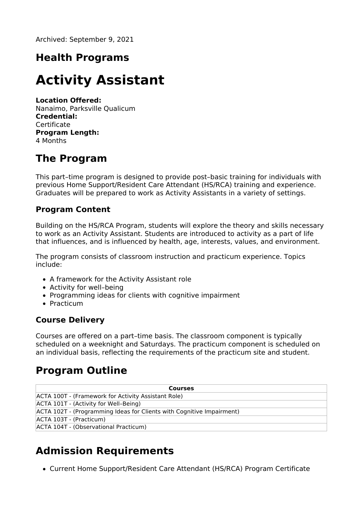Archived: September 9, 2021

### **Health Programs**

# **Activity Assistant**

**Location Offered:** Nanaimo, Parksville Qualicum **Credential: Certificate Program Length:** 4 Months

### **The Program**

This part–time program is designed to provide post–basic training for individuals with previous Home Support/Resident Care Attendant (HS/RCA) training and experience. Graduates will be prepared to work as Activity Assistants in a variety of settings.

#### **Program Content**

Building on the HS/RCA Program, students will explore the theory and skills necessary to work as an Activity Assistant. Students are introduced to activity as a part of life that influences, and is influenced by health, age, interests, values, and environment.

The program consists of classroom instruction and practicum experience. Topics include:

- A framework for the Activity Assistant role
- Activity for well-being
- Programming ideas for clients with cognitive impairment
- Practicum

#### **Course Delivery**

Courses are offered on a part–time basis. The classroom component is typically scheduled on a weeknight and Saturdays. The practicum component is scheduled on an individual basis, reflecting the requirements of the practicum site and student.

### **Program Outline**

| <b>Courses</b>                                                        |
|-----------------------------------------------------------------------|
| ACTA 100T - (Framework for Activity Assistant Role)                   |
| ACTA 101T - (Activity for Well-Being)                                 |
| ACTA 102T - (Programming Ideas for Clients with Cognitive Impairment) |
| ACTA 103T - (Practicum)                                               |
| ACTA 104T - (Observational Practicum)                                 |

## **Admission Requirements**

Current Home Support/Resident Care Attendant (HS/RCA) Program Certificate